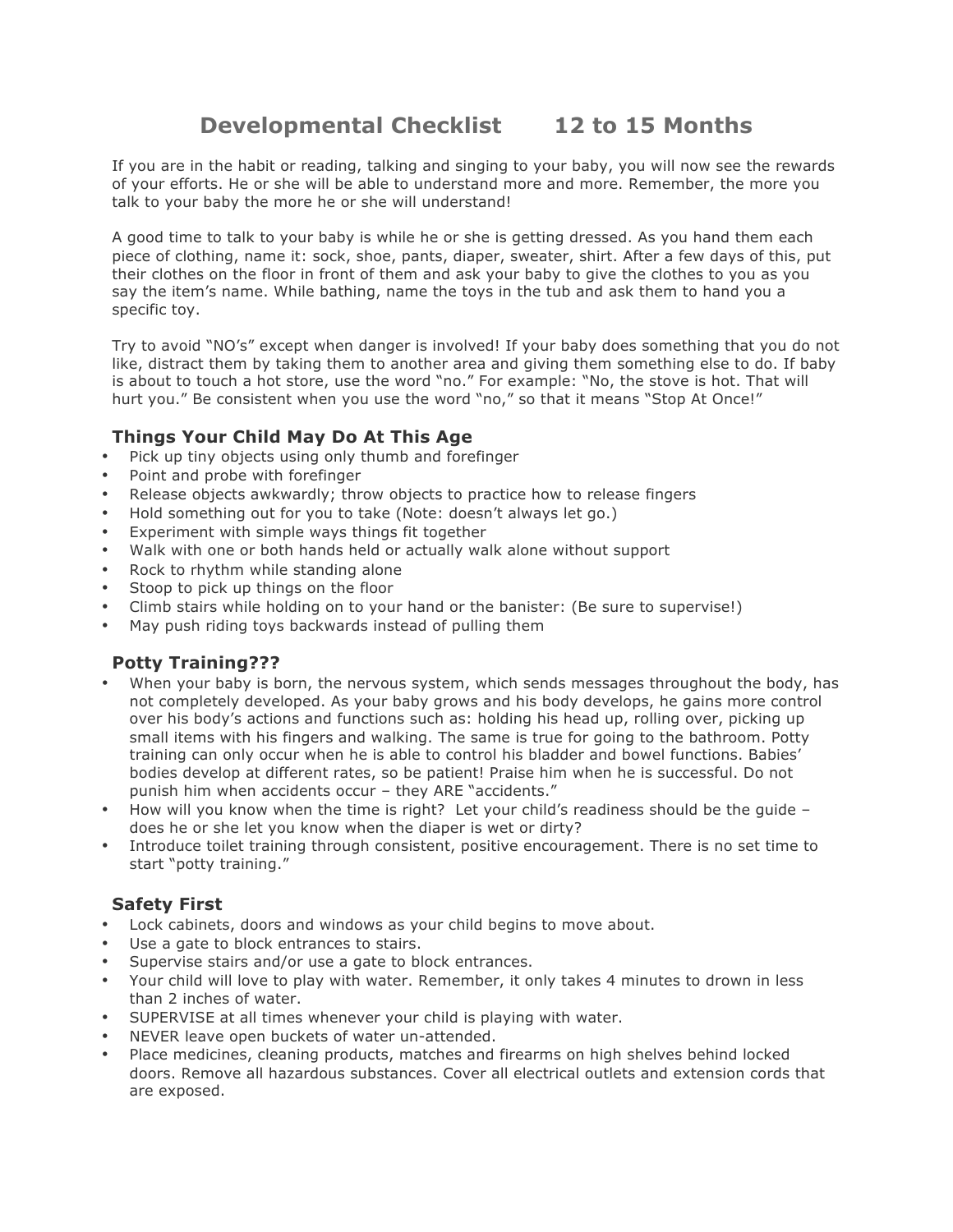# **Developmental Checklist 12 to 15 Months**

If you are in the habit or reading, talking and singing to your baby, you will now see the rewards of your efforts. He or she will be able to understand more and more. Remember, the more you talk to your baby the more he or she will understand!

A good time to talk to your baby is while he or she is getting dressed. As you hand them each piece of clothing, name it: sock, shoe, pants, diaper, sweater, shirt. After a few days of this, put their clothes on the floor in front of them and ask your baby to give the clothes to you as you say the item's name. While bathing, name the toys in the tub and ask them to hand you a specific toy.

Try to avoid "NO's" except when danger is involved! If your baby does something that you do not like, distract them by taking them to another area and giving them something else to do. If baby is about to touch a hot store, use the word "no." For example: "No, the stove is hot. That will hurt you." Be consistent when you use the word "no," so that it means "Stop At Once!"

### **Things Your Child May Do At This Age**

- Pick up tiny objects using only thumb and forefinger
- Point and probe with forefinger
- Release objects awkwardly; throw objects to practice how to release fingers
- Hold something out for you to take (Note: doesn't always let go.)
- Experiment with simple ways things fit together
- Walk with one or both hands held or actually walk alone without support
- Rock to rhythm while standing alone
- Stoop to pick up things on the floor
- Climb stairs while holding on to your hand or the banister: (Be sure to supervise!)
- May push riding toys backwards instead of pulling them

## **Potty Training???**

- When your baby is born, the nervous system, which sends messages throughout the body, has not completely developed. As your baby grows and his body develops, he gains more control over his body's actions and functions such as: holding his head up, rolling over, picking up small items with his fingers and walking. The same is true for going to the bathroom. Potty training can only occur when he is able to control his bladder and bowel functions. Babies' bodies develop at different rates, so be patient! Praise him when he is successful. Do not punish him when accidents occur – they ARE "accidents."
- How will you know when the time is right? Let your child's readiness should be the guide does he or she let you know when the diaper is wet or dirty?
- Introduce toilet training through consistent, positive encouragement. There is no set time to start "potty training."

#### **Safety First**

- Lock cabinets, doors and windows as your child begins to move about.
- Use a gate to block entrances to stairs.
- Supervise stairs and/or use a gate to block entrances.
- Your child will love to play with water. Remember, it only takes 4 minutes to drown in less than 2 inches of water.
- SUPERVISE at all times whenever your child is playing with water.
- NEVER leave open buckets of water un-attended.
- Place medicines, cleaning products, matches and firearms on high shelves behind locked doors. Remove all hazardous substances. Cover all electrical outlets and extension cords that are exposed.